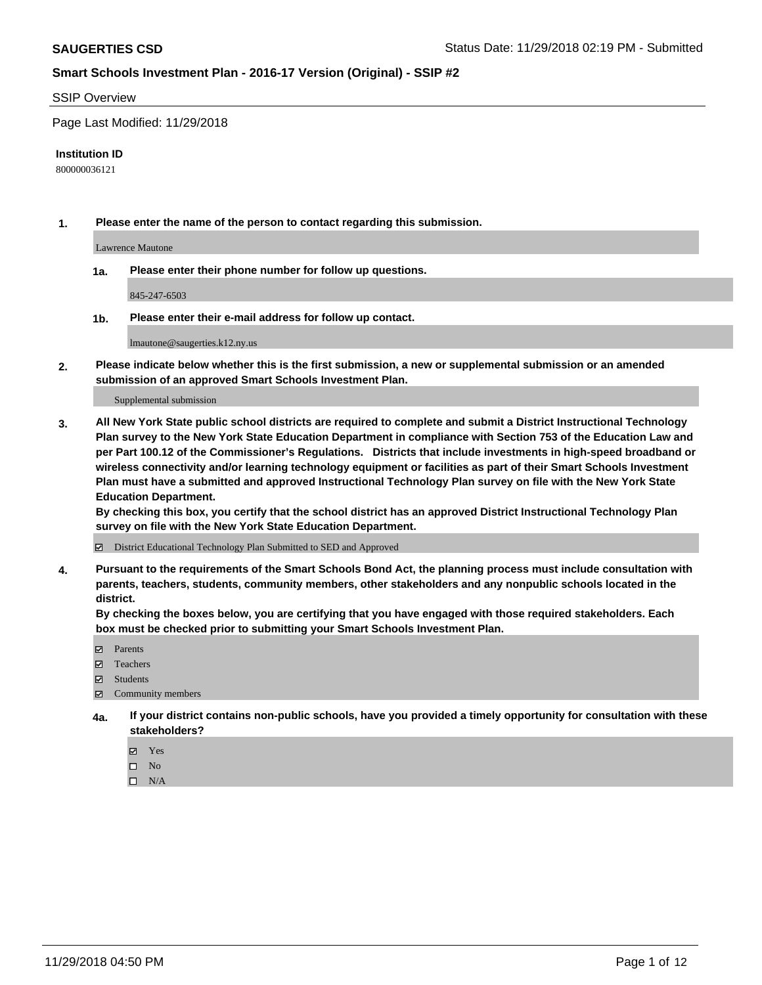#### SSIP Overview

Page Last Modified: 11/29/2018

#### **Institution ID**

800000036121

**1. Please enter the name of the person to contact regarding this submission.**

Lawrence Mautone

**1a. Please enter their phone number for follow up questions.**

845-247-6503

**1b. Please enter their e-mail address for follow up contact.**

lmautone@saugerties.k12.ny.us

**2. Please indicate below whether this is the first submission, a new or supplemental submission or an amended submission of an approved Smart Schools Investment Plan.**

Supplemental submission

**3. All New York State public school districts are required to complete and submit a District Instructional Technology Plan survey to the New York State Education Department in compliance with Section 753 of the Education Law and per Part 100.12 of the Commissioner's Regulations. Districts that include investments in high-speed broadband or wireless connectivity and/or learning technology equipment or facilities as part of their Smart Schools Investment Plan must have a submitted and approved Instructional Technology Plan survey on file with the New York State Education Department.** 

**By checking this box, you certify that the school district has an approved District Instructional Technology Plan survey on file with the New York State Education Department.**

District Educational Technology Plan Submitted to SED and Approved

**4. Pursuant to the requirements of the Smart Schools Bond Act, the planning process must include consultation with parents, teachers, students, community members, other stakeholders and any nonpublic schools located in the district.** 

**By checking the boxes below, you are certifying that you have engaged with those required stakeholders. Each box must be checked prior to submitting your Smart Schools Investment Plan.**

- **□** Parents
- Teachers
- Students
- $\boxtimes$  Community members
- **4a. If your district contains non-public schools, have you provided a timely opportunity for consultation with these stakeholders?**
	- Yes
	- $\qquad \qquad$  No
	- $\square$  N/A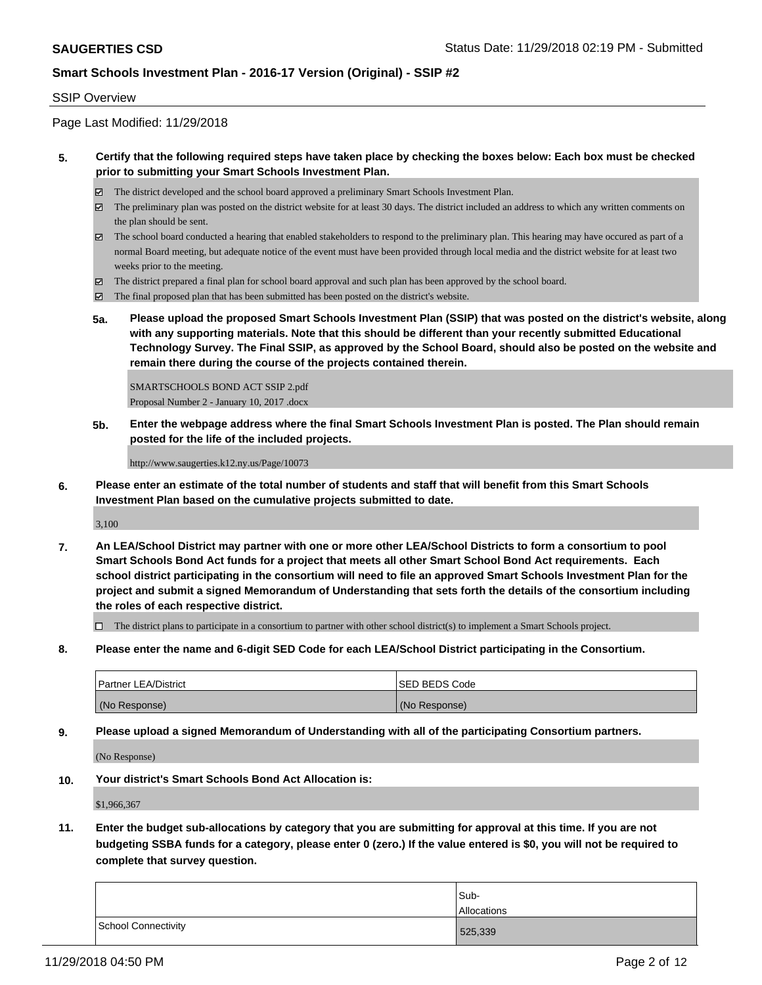#### SSIP Overview

Page Last Modified: 11/29/2018

#### **5. Certify that the following required steps have taken place by checking the boxes below: Each box must be checked prior to submitting your Smart Schools Investment Plan.**

- The district developed and the school board approved a preliminary Smart Schools Investment Plan.
- $\boxtimes$  The preliminary plan was posted on the district website for at least 30 days. The district included an address to which any written comments on the plan should be sent.
- $\boxtimes$  The school board conducted a hearing that enabled stakeholders to respond to the preliminary plan. This hearing may have occured as part of a normal Board meeting, but adequate notice of the event must have been provided through local media and the district website for at least two weeks prior to the meeting.
- The district prepared a final plan for school board approval and such plan has been approved by the school board.
- $\boxtimes$  The final proposed plan that has been submitted has been posted on the district's website.
- **5a. Please upload the proposed Smart Schools Investment Plan (SSIP) that was posted on the district's website, along with any supporting materials. Note that this should be different than your recently submitted Educational Technology Survey. The Final SSIP, as approved by the School Board, should also be posted on the website and remain there during the course of the projects contained therein.**

SMARTSCHOOLS BOND ACT SSIP 2.pdf Proposal Number 2 - January 10, 2017 .docx

**5b. Enter the webpage address where the final Smart Schools Investment Plan is posted. The Plan should remain posted for the life of the included projects.**

http://www.saugerties.k12.ny.us/Page/10073

**6. Please enter an estimate of the total number of students and staff that will benefit from this Smart Schools Investment Plan based on the cumulative projects submitted to date.**

3,100

**7. An LEA/School District may partner with one or more other LEA/School Districts to form a consortium to pool Smart Schools Bond Act funds for a project that meets all other Smart School Bond Act requirements. Each school district participating in the consortium will need to file an approved Smart Schools Investment Plan for the project and submit a signed Memorandum of Understanding that sets forth the details of the consortium including the roles of each respective district.**

 $\Box$  The district plans to participate in a consortium to partner with other school district(s) to implement a Smart Schools project.

**8. Please enter the name and 6-digit SED Code for each LEA/School District participating in the Consortium.**

| <b>Partner LEA/District</b> | <b>ISED BEDS Code</b> |
|-----------------------------|-----------------------|
| (No Response)               | (No Response)         |

**9. Please upload a signed Memorandum of Understanding with all of the participating Consortium partners.**

(No Response)

**10. Your district's Smart Schools Bond Act Allocation is:**

\$1,966,367

**11. Enter the budget sub-allocations by category that you are submitting for approval at this time. If you are not budgeting SSBA funds for a category, please enter 0 (zero.) If the value entered is \$0, you will not be required to complete that survey question.**

|                     | Sub-<br>Allocations |
|---------------------|---------------------|
| School Connectivity | 525,339             |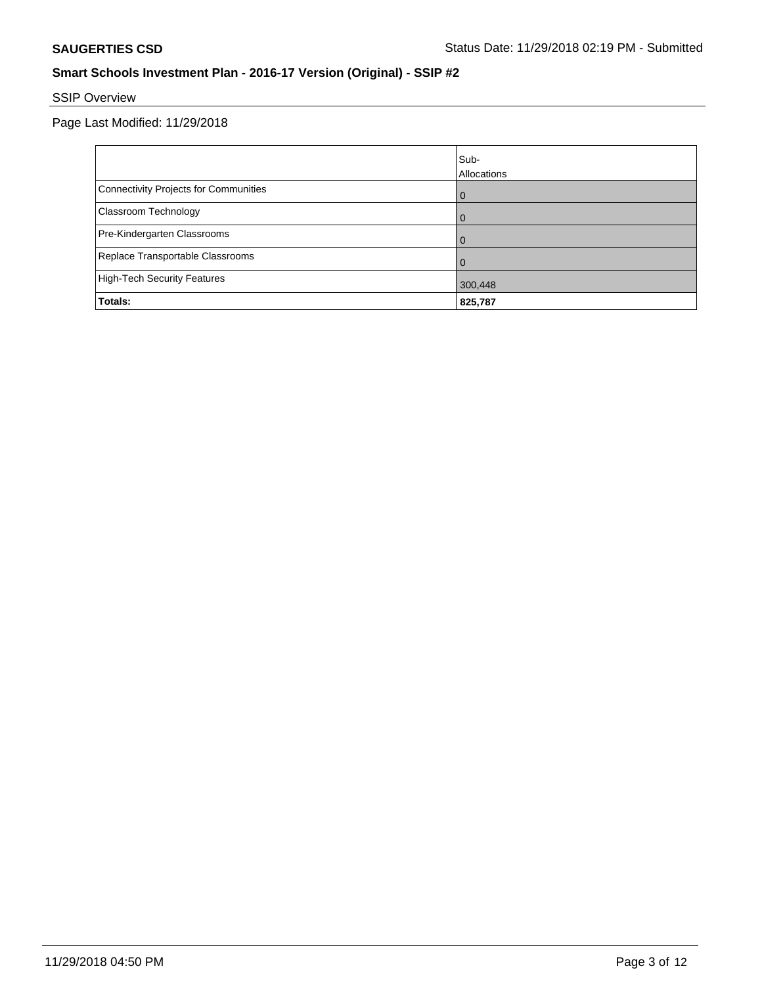# SSIP Overview

|                                       | lSub-       |
|---------------------------------------|-------------|
|                                       | Allocations |
| Connectivity Projects for Communities | $\Omega$    |
| <b>Classroom Technology</b>           | $\Omega$    |
| Pre-Kindergarten Classrooms           | $\Omega$    |
| Replace Transportable Classrooms      | $\Omega$    |
| High-Tech Security Features           | 300,448     |
| Totals:                               | 825,787     |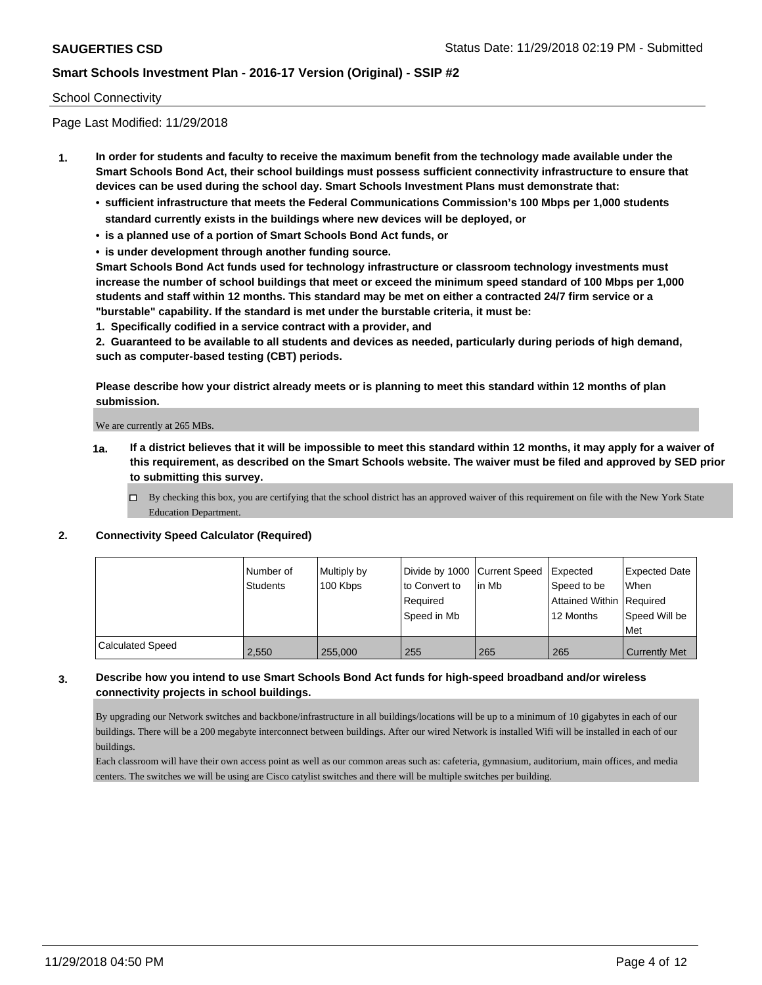#### School Connectivity

Page Last Modified: 11/29/2018

- **1. In order for students and faculty to receive the maximum benefit from the technology made available under the Smart Schools Bond Act, their school buildings must possess sufficient connectivity infrastructure to ensure that devices can be used during the school day. Smart Schools Investment Plans must demonstrate that:**
	- **• sufficient infrastructure that meets the Federal Communications Commission's 100 Mbps per 1,000 students standard currently exists in the buildings where new devices will be deployed, or**
	- **• is a planned use of a portion of Smart Schools Bond Act funds, or**
	- **• is under development through another funding source.**

**Smart Schools Bond Act funds used for technology infrastructure or classroom technology investments must increase the number of school buildings that meet or exceed the minimum speed standard of 100 Mbps per 1,000 students and staff within 12 months. This standard may be met on either a contracted 24/7 firm service or a "burstable" capability. If the standard is met under the burstable criteria, it must be:**

**1. Specifically codified in a service contract with a provider, and**

**2. Guaranteed to be available to all students and devices as needed, particularly during periods of high demand, such as computer-based testing (CBT) periods.**

**Please describe how your district already meets or is planning to meet this standard within 12 months of plan submission.**

We are currently at 265 MBs.

- **1a. If a district believes that it will be impossible to meet this standard within 12 months, it may apply for a waiver of this requirement, as described on the Smart Schools website. The waiver must be filed and approved by SED prior to submitting this survey.**
	- By checking this box, you are certifying that the school district has an approved waiver of this requirement on file with the New York State Education Department.

#### **2. Connectivity Speed Calculator (Required)**

|                         | l Number of<br>Students | Multiply by<br>100 Kbps | Divide by 1000 Current Speed<br>to Convert to<br>Required<br>Speed in Mb | lin Mb | Expected<br>Speed to be<br>Attained Within   Required<br>12 Months | <b>Expected Date</b><br>When<br>Speed Will be<br>Met |
|-------------------------|-------------------------|-------------------------|--------------------------------------------------------------------------|--------|--------------------------------------------------------------------|------------------------------------------------------|
| <b>Calculated Speed</b> | 2,550                   | 255,000                 | 255                                                                      | 265    | 265                                                                | <b>Currently Met</b>                                 |

### **3. Describe how you intend to use Smart Schools Bond Act funds for high-speed broadband and/or wireless connectivity projects in school buildings.**

By upgrading our Network switches and backbone/infrastructure in all buildings/locations will be up to a minimum of 10 gigabytes in each of our buildings. There will be a 200 megabyte interconnect between buildings. After our wired Network is installed Wifi will be installed in each of our buildings.

Each classroom will have their own access point as well as our common areas such as: cafeteria, gymnasium, auditorium, main offices, and media centers. The switches we will be using are Cisco catylist switches and there will be multiple switches per building.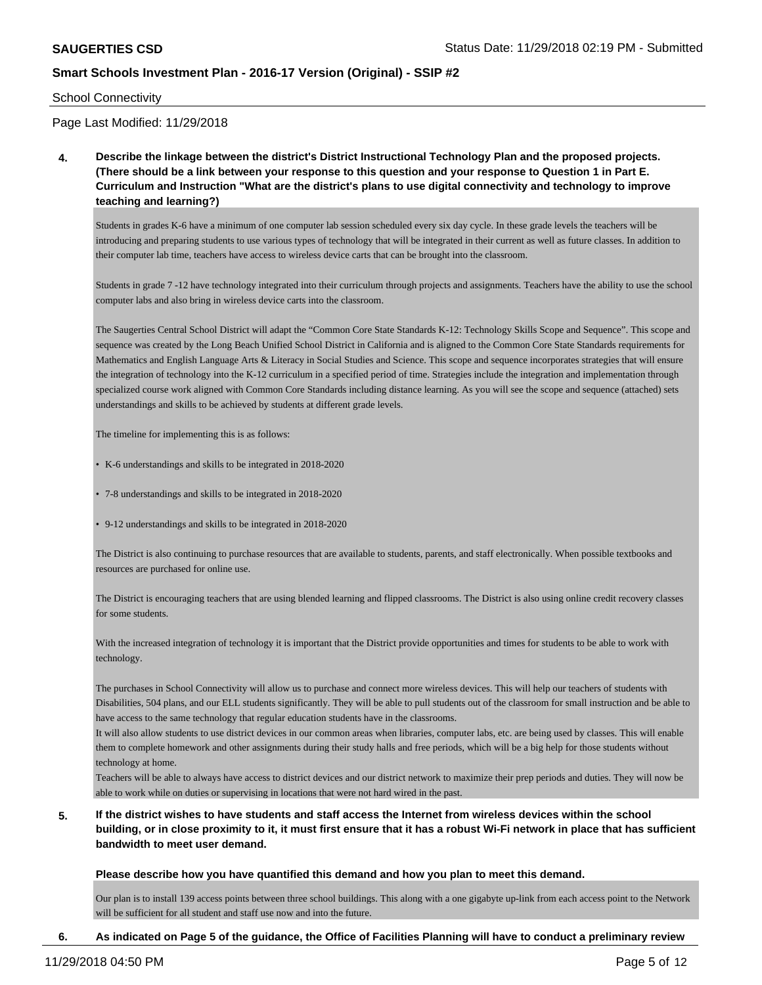#### School Connectivity

Page Last Modified: 11/29/2018

**4. Describe the linkage between the district's District Instructional Technology Plan and the proposed projects. (There should be a link between your response to this question and your response to Question 1 in Part E. Curriculum and Instruction "What are the district's plans to use digital connectivity and technology to improve teaching and learning?)**

Students in grades K-6 have a minimum of one computer lab session scheduled every six day cycle. In these grade levels the teachers will be introducing and preparing students to use various types of technology that will be integrated in their current as well as future classes. In addition to their computer lab time, teachers have access to wireless device carts that can be brought into the classroom.

Students in grade 7 -12 have technology integrated into their curriculum through projects and assignments. Teachers have the ability to use the school computer labs and also bring in wireless device carts into the classroom.

The Saugerties Central School District will adapt the "Common Core State Standards K-12: Technology Skills Scope and Sequence". This scope and sequence was created by the Long Beach Unified School District in California and is aligned to the Common Core State Standards requirements for Mathematics and English Language Arts & Literacy in Social Studies and Science. This scope and sequence incorporates strategies that will ensure the integration of technology into the K-12 curriculum in a specified period of time. Strategies include the integration and implementation through specialized course work aligned with Common Core Standards including distance learning. As you will see the scope and sequence (attached) sets understandings and skills to be achieved by students at different grade levels.

The timeline for implementing this is as follows:

- K-6 understandings and skills to be integrated in 2018-2020
- 7-8 understandings and skills to be integrated in 2018-2020
- 9-12 understandings and skills to be integrated in 2018-2020

The District is also continuing to purchase resources that are available to students, parents, and staff electronically. When possible textbooks and resources are purchased for online use.

The District is encouraging teachers that are using blended learning and flipped classrooms. The District is also using online credit recovery classes for some students.

With the increased integration of technology it is important that the District provide opportunities and times for students to be able to work with technology.

The purchases in School Connectivity will allow us to purchase and connect more wireless devices. This will help our teachers of students with Disabilities, 504 plans, and our ELL students significantly. They will be able to pull students out of the classroom for small instruction and be able to have access to the same technology that regular education students have in the classrooms.

It will also allow students to use district devices in our common areas when libraries, computer labs, etc. are being used by classes. This will enable them to complete homework and other assignments during their study halls and free periods, which will be a big help for those students without technology at home.

Teachers will be able to always have access to district devices and our district network to maximize their prep periods and duties. They will now be able to work while on duties or supervising in locations that were not hard wired in the past.

**5. If the district wishes to have students and staff access the Internet from wireless devices within the school building, or in close proximity to it, it must first ensure that it has a robust Wi-Fi network in place that has sufficient bandwidth to meet user demand.**

#### **Please describe how you have quantified this demand and how you plan to meet this demand.**

Our plan is to install 139 access points between three school buildings. This along with a one gigabyte up-link from each access point to the Network will be sufficient for all student and staff use now and into the future.

#### **6. As indicated on Page 5 of the guidance, the Office of Facilities Planning will have to conduct a preliminary review**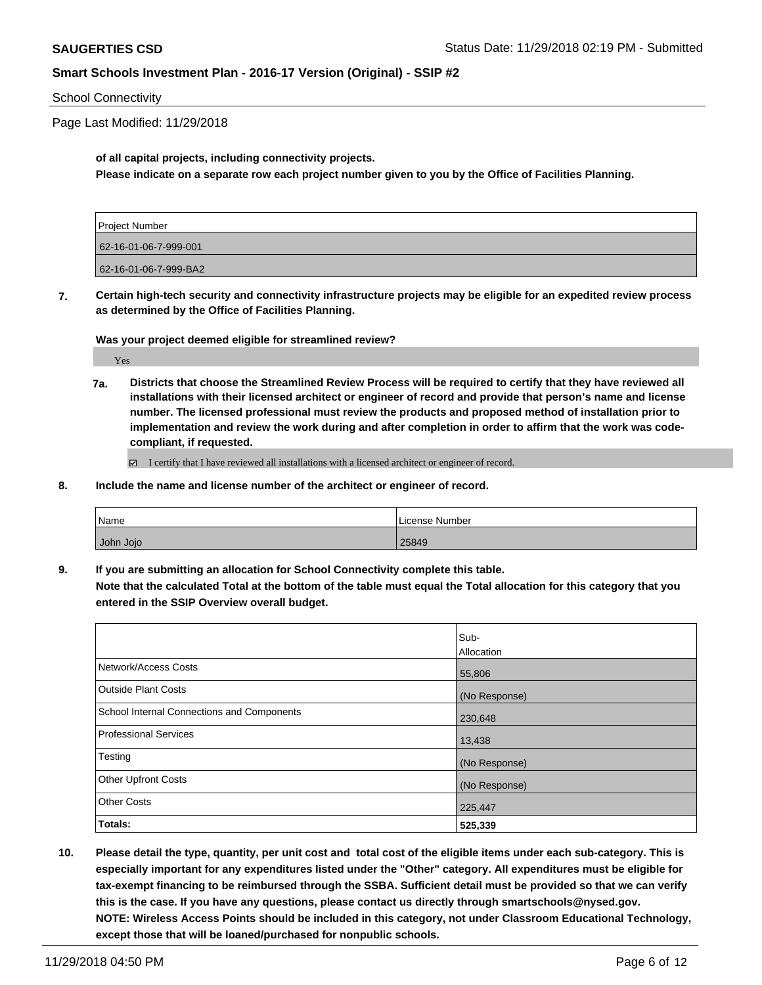#### School Connectivity

Page Last Modified: 11/29/2018

#### **of all capital projects, including connectivity projects. Please indicate on a separate row each project number given to you by the Office of Facilities Planning.**

| Project Number        |  |
|-----------------------|--|
| 62-16-01-06-7-999-001 |  |
|                       |  |
| 62-16-01-06-7-999-BA2 |  |

**7. Certain high-tech security and connectivity infrastructure projects may be eligible for an expedited review process as determined by the Office of Facilities Planning.**

#### **Was your project deemed eligible for streamlined review?**

Yes

**7a. Districts that choose the Streamlined Review Process will be required to certify that they have reviewed all installations with their licensed architect or engineer of record and provide that person's name and license number. The licensed professional must review the products and proposed method of installation prior to implementation and review the work during and after completion in order to affirm that the work was codecompliant, if requested.**

I certify that I have reviewed all installations with a licensed architect or engineer of record.

**8. Include the name and license number of the architect or engineer of record.**

| Name      | License Number |
|-----------|----------------|
| John Jojo | 25849          |

**9. If you are submitting an allocation for School Connectivity complete this table. Note that the calculated Total at the bottom of the table must equal the Total allocation for this category that you entered in the SSIP Overview overall budget.** 

|                                                   | Sub-<br>Allocation |
|---------------------------------------------------|--------------------|
| Network/Access Costs                              | 55,806             |
| <b>Outside Plant Costs</b>                        | (No Response)      |
| <b>School Internal Connections and Components</b> | 230,648            |
| <b>Professional Services</b>                      | 13,438             |
| Testing                                           | (No Response)      |
| <b>Other Upfront Costs</b>                        | (No Response)      |
| <b>Other Costs</b>                                | 225,447            |
| Totals:                                           | 525,339            |

**10. Please detail the type, quantity, per unit cost and total cost of the eligible items under each sub-category. This is especially important for any expenditures listed under the "Other" category. All expenditures must be eligible for tax-exempt financing to be reimbursed through the SSBA. Sufficient detail must be provided so that we can verify this is the case. If you have any questions, please contact us directly through smartschools@nysed.gov. NOTE: Wireless Access Points should be included in this category, not under Classroom Educational Technology, except those that will be loaned/purchased for nonpublic schools.**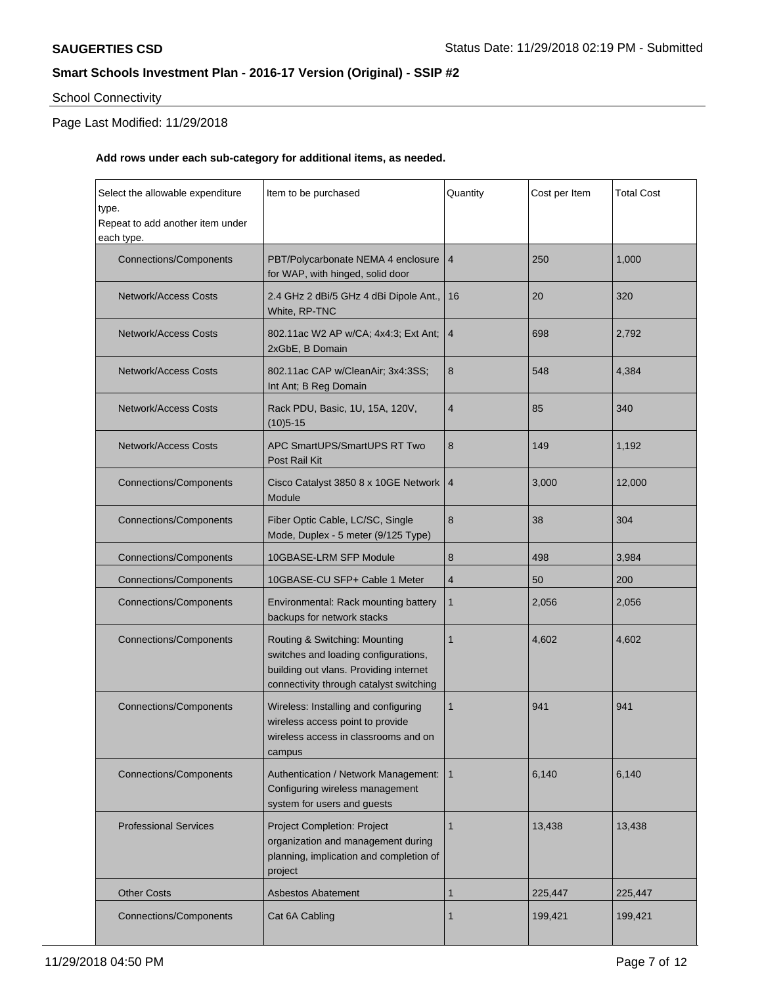# School Connectivity

## Page Last Modified: 11/29/2018

## **Add rows under each sub-category for additional items, as needed.**

| Select the allowable expenditure<br>type.<br>Repeat to add another item under<br>each type. | Item to be purchased                                                                                                                                       | Quantity        | Cost per Item | <b>Total Cost</b> |
|---------------------------------------------------------------------------------------------|------------------------------------------------------------------------------------------------------------------------------------------------------------|-----------------|---------------|-------------------|
| <b>Connections/Components</b>                                                               | PBT/Polycarbonate NEMA 4 enclosure<br>for WAP, with hinged, solid door                                                                                     | 4               | 250           | 1,000             |
| <b>Network/Access Costs</b>                                                                 | 2.4 GHz 2 dBi/5 GHz 4 dBi Dipole Ant.,<br>White, RP-TNC                                                                                                    | 16              | 20            | 320               |
| <b>Network/Access Costs</b>                                                                 | 802.11ac W2 AP w/CA; 4x4:3; Ext Ant;<br>2xGbE, B Domain                                                                                                    | $\overline{4}$  | 698           | 2,792             |
| <b>Network/Access Costs</b>                                                                 | 802.11ac CAP w/CleanAir; 3x4:3SS;<br>Int Ant; B Reg Domain                                                                                                 | 8               | 548           | 4,384             |
| <b>Network/Access Costs</b>                                                                 | Rack PDU, Basic, 1U, 15A, 120V,<br>$(10)5 - 15$                                                                                                            | 4               | 85            | 340               |
| <b>Network/Access Costs</b>                                                                 | APC SmartUPS/SmartUPS RT Two<br>Post Rail Kit                                                                                                              | 8               | 149           | 1,192             |
| <b>Connections/Components</b>                                                               | Cisco Catalyst 3850 8 x 10GE Network<br>Module                                                                                                             | $\vert 4 \vert$ | 3,000         | 12,000            |
| <b>Connections/Components</b>                                                               | Fiber Optic Cable, LC/SC, Single<br>Mode, Duplex - 5 meter (9/125 Type)                                                                                    | 8               | 38            | 304               |
| <b>Connections/Components</b>                                                               | 10GBASE-LRM SFP Module                                                                                                                                     | 8               | 498           | 3,984             |
| <b>Connections/Components</b>                                                               | 10GBASE-CU SFP+ Cable 1 Meter                                                                                                                              | 4               | 50            | 200               |
| <b>Connections/Components</b>                                                               | Environmental: Rack mounting battery<br>backups for network stacks                                                                                         | 1               | 2,056         | 2,056             |
| <b>Connections/Components</b>                                                               | Routing & Switching: Mounting<br>switches and loading configurations,<br>building out vlans. Providing internet<br>connectivity through catalyst switching | 1               | 4,602         | 4,602             |
| <b>Connections/Components</b>                                                               | Wireless: Installing and configuring<br>wireless access point to provide<br>wireless access in classrooms and on<br>campus                                 | 1               | 941           | 941               |
| <b>Connections/Components</b>                                                               | Authentication / Network Management:<br>Configuring wireless management<br>system for users and guests                                                     | 1               | 6,140         | 6,140             |
| <b>Professional Services</b>                                                                | Project Completion: Project<br>organization and management during<br>planning, implication and completion of<br>project                                    | $\mathbf{1}$    | 13,438        | 13,438            |
| <b>Other Costs</b>                                                                          | <b>Asbestos Abatement</b>                                                                                                                                  | 1               | 225,447       | 225,447           |
| <b>Connections/Components</b>                                                               | Cat 6A Cabling                                                                                                                                             | 1               | 199,421       | 199,421           |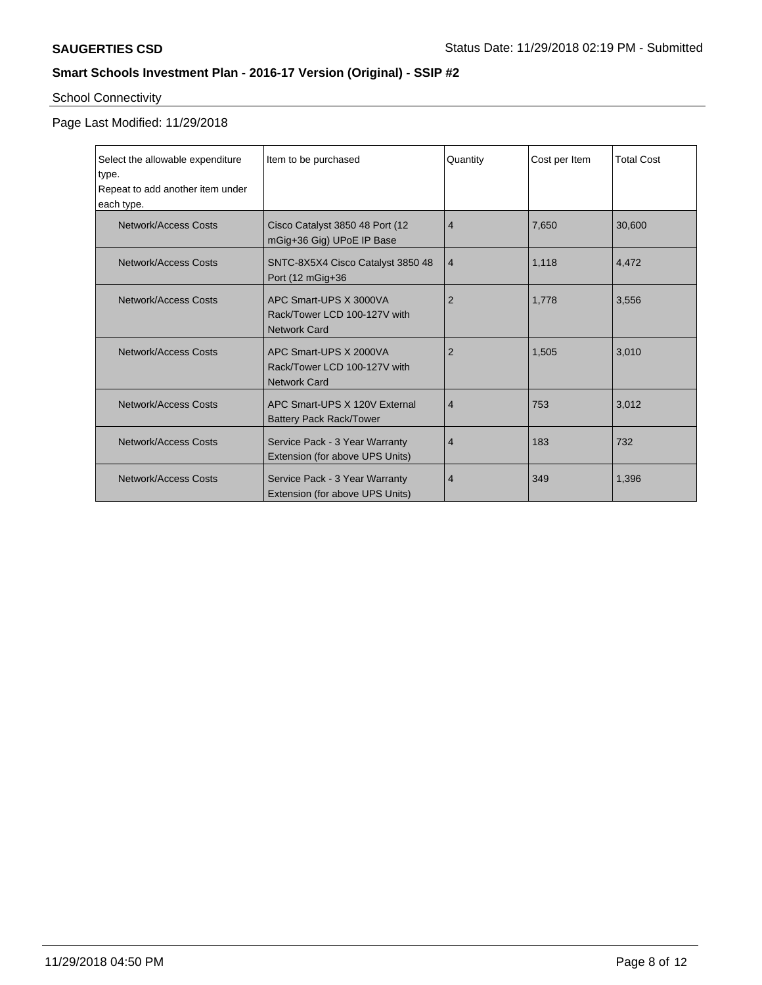# School Connectivity

| Select the allowable expenditure<br>type.<br>Repeat to add another item under<br>each type. | Item to be purchased                                                          | Quantity       | Cost per Item | <b>Total Cost</b> |
|---------------------------------------------------------------------------------------------|-------------------------------------------------------------------------------|----------------|---------------|-------------------|
| Network/Access Costs                                                                        | Cisco Catalyst 3850 48 Port (12)<br>mGig+36 Gig) UPoE IP Base                 | $\overline{4}$ | 7,650         | 30,600            |
| Network/Access Costs                                                                        | SNTC-8X5X4 Cisco Catalyst 3850 48<br>Port (12 mGig+36                         | $\overline{4}$ | 1,118         | 4,472             |
| Network/Access Costs                                                                        | APC Smart-UPS X 3000VA<br>Rack/Tower LCD 100-127V with<br><b>Network Card</b> | $\overline{2}$ | 1,778         | 3,556             |
| Network/Access Costs                                                                        | APC Smart-UPS X 2000VA<br>Rack/Tower LCD 100-127V with<br><b>Network Card</b> | $\overline{2}$ | 1.505         | 3,010             |
| Network/Access Costs                                                                        | APC Smart-UPS X 120V External<br><b>Battery Pack Rack/Tower</b>               | $\overline{4}$ | 753           | 3,012             |
| <b>Network/Access Costs</b>                                                                 | Service Pack - 3 Year Warranty<br>Extension (for above UPS Units)             | 4              | 183           | 732               |
| Network/Access Costs                                                                        | Service Pack - 3 Year Warranty<br>Extension (for above UPS Units)             | 4              | 349           | 1,396             |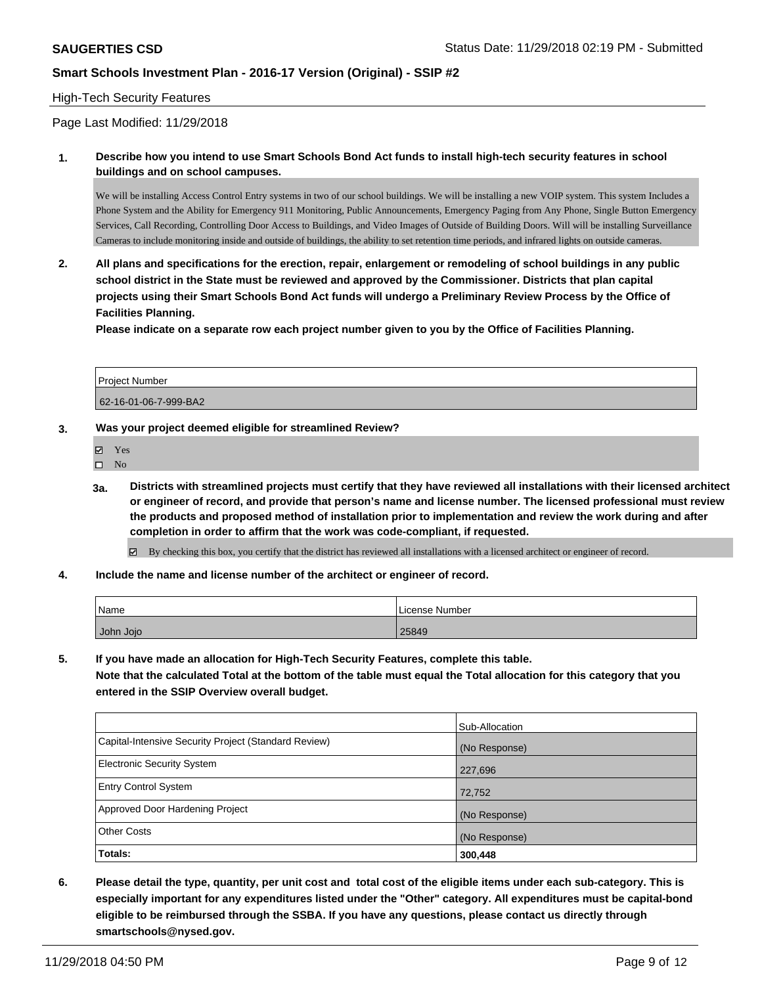#### High-Tech Security Features

Page Last Modified: 11/29/2018

**1. Describe how you intend to use Smart Schools Bond Act funds to install high-tech security features in school buildings and on school campuses.**

We will be installing Access Control Entry systems in two of our school buildings. We will be installing a new VOIP system. This system Includes a Phone System and the Ability for Emergency 911 Monitoring, Public Announcements, Emergency Paging from Any Phone, Single Button Emergency Services, Call Recording, Controlling Door Access to Buildings, and Video Images of Outside of Building Doors. Will will be installing Surveillance Cameras to include monitoring inside and outside of buildings, the ability to set retention time periods, and infrared lights on outside cameras.

**2. All plans and specifications for the erection, repair, enlargement or remodeling of school buildings in any public school district in the State must be reviewed and approved by the Commissioner. Districts that plan capital projects using their Smart Schools Bond Act funds will undergo a Preliminary Review Process by the Office of Facilities Planning.** 

**Please indicate on a separate row each project number given to you by the Office of Facilities Planning.**

| l Proiect Number      |  |
|-----------------------|--|
| 62-16-01-06-7-999-BA2 |  |

- **3. Was your project deemed eligible for streamlined Review?**
	- Yes
	- $\square$  No
	- **3a. Districts with streamlined projects must certify that they have reviewed all installations with their licensed architect or engineer of record, and provide that person's name and license number. The licensed professional must review the products and proposed method of installation prior to implementation and review the work during and after completion in order to affirm that the work was code-compliant, if requested.**

 $\boxtimes$  By checking this box, you certify that the district has reviewed all installations with a licensed architect or engineer of record.

**4. Include the name and license number of the architect or engineer of record.**

| 'Name     | License Number |
|-----------|----------------|
| John Jojo | 25849          |

**5. If you have made an allocation for High-Tech Security Features, complete this table.**

**Note that the calculated Total at the bottom of the table must equal the Total allocation for this category that you entered in the SSIP Overview overall budget.**

| <b>Totals:</b>                                       | 300,448        |
|------------------------------------------------------|----------------|
| <b>Other Costs</b>                                   | (No Response)  |
| Approved Door Hardening Project                      | (No Response)  |
| <b>Entry Control System</b>                          | 72,752         |
| <b>Electronic Security System</b>                    | 227,696        |
| Capital-Intensive Security Project (Standard Review) | (No Response)  |
|                                                      | Sub-Allocation |

**6. Please detail the type, quantity, per unit cost and total cost of the eligible items under each sub-category. This is especially important for any expenditures listed under the "Other" category. All expenditures must be capital-bond eligible to be reimbursed through the SSBA. If you have any questions, please contact us directly through smartschools@nysed.gov.**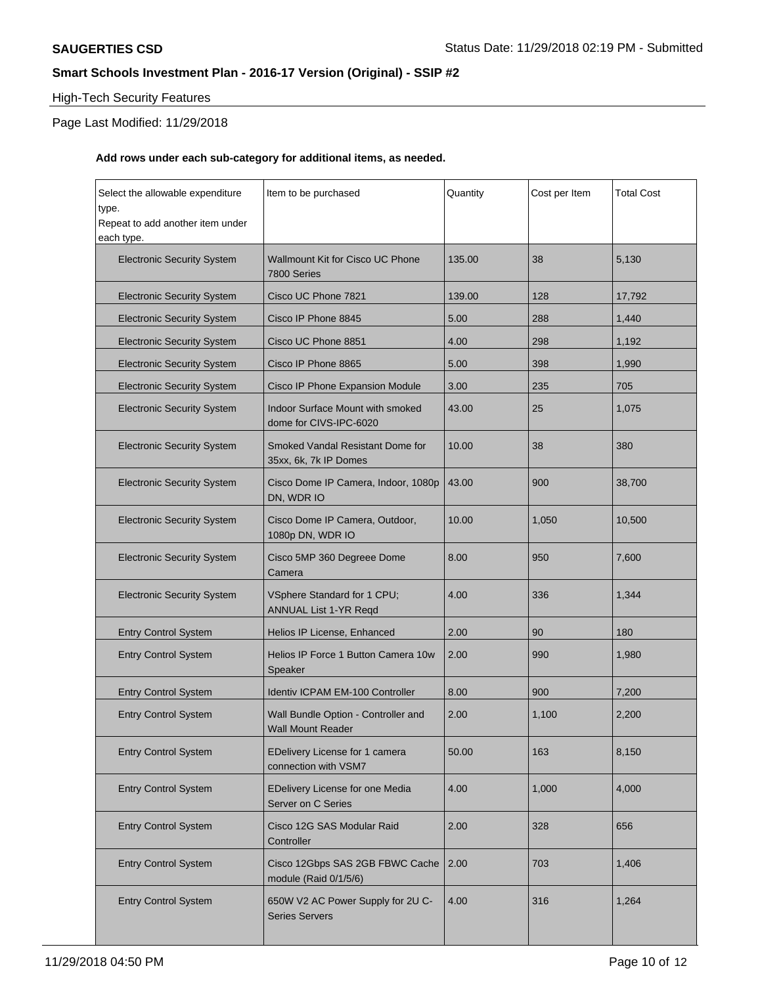### High-Tech Security Features

## Page Last Modified: 11/29/2018

#### **Add rows under each sub-category for additional items, as needed.**

| Select the allowable expenditure<br>type.<br>Repeat to add another item under<br>each type. | Item to be purchased                                              | Quantity | Cost per Item | <b>Total Cost</b> |
|---------------------------------------------------------------------------------------------|-------------------------------------------------------------------|----------|---------------|-------------------|
| <b>Electronic Security System</b>                                                           | Wallmount Kit for Cisco UC Phone<br>7800 Series                   | 135.00   | 38            | 5,130             |
| <b>Electronic Security System</b>                                                           | Cisco UC Phone 7821                                               | 139.00   | 128           | 17,792            |
| <b>Electronic Security System</b>                                                           | Cisco IP Phone 8845                                               | 5.00     | 288           | 1,440             |
| <b>Electronic Security System</b>                                                           | Cisco UC Phone 8851                                               | 4.00     | 298           | 1,192             |
| <b>Electronic Security System</b>                                                           | Cisco IP Phone 8865                                               | 5.00     | 398           | 1,990             |
| <b>Electronic Security System</b>                                                           | Cisco IP Phone Expansion Module                                   | 3.00     | 235           | 705               |
| <b>Electronic Security System</b>                                                           | <b>Indoor Surface Mount with smoked</b><br>dome for CIVS-IPC-6020 | 43.00    | 25            | 1,075             |
| <b>Electronic Security System</b>                                                           | Smoked Vandal Resistant Dome for<br>35xx, 6k, 7k IP Domes         | 10.00    | 38            | 380               |
| <b>Electronic Security System</b>                                                           | Cisco Dome IP Camera, Indoor, 1080p<br>DN, WDR IO                 | 43.00    | 900           | 38,700            |
| <b>Electronic Security System</b>                                                           | Cisco Dome IP Camera, Outdoor,<br>1080p DN, WDR IO                | 10.00    | 1,050         | 10,500            |
| <b>Electronic Security System</b>                                                           | Cisco 5MP 360 Degreee Dome<br>Camera                              | 8.00     | 950           | 7,600             |
| <b>Electronic Security System</b>                                                           | VSphere Standard for 1 CPU;<br>ANNUAL List 1-YR Reqd              | 4.00     | 336           | 1,344             |
| <b>Entry Control System</b>                                                                 | Helios IP License, Enhanced                                       | 2.00     | 90            | 180               |
| <b>Entry Control System</b>                                                                 | Helios IP Force 1 Button Camera 10w<br>Speaker                    | 2.00     | 990           | 1,980             |
| <b>Entry Control System</b>                                                                 | <b>Identiv ICPAM EM-100 Controller</b>                            | 8.00     | 900           | 7,200             |
| <b>Entry Control System</b>                                                                 | Wall Bundle Option - Controller and<br><b>Wall Mount Reader</b>   | 2.00     | 1,100         | 2,200             |
| <b>Entry Control System</b>                                                                 | EDelivery License for 1 camera<br>connection with VSM7            | 50.00    | 163           | 8,150             |
| <b>Entry Control System</b>                                                                 | EDelivery License for one Media<br>Server on C Series             | 4.00     | 1,000         | 4,000             |
| <b>Entry Control System</b>                                                                 | Cisco 12G SAS Modular Raid<br>Controller                          | 2.00     | 328           | 656               |
| <b>Entry Control System</b>                                                                 | Cisco 12Gbps SAS 2GB FBWC Cache<br>module (Raid 0/1/5/6)          | 2.00     | 703           | 1,406             |
| <b>Entry Control System</b>                                                                 | 650W V2 AC Power Supply for 2U C-<br><b>Series Servers</b>        | 4.00     | 316           | 1,264             |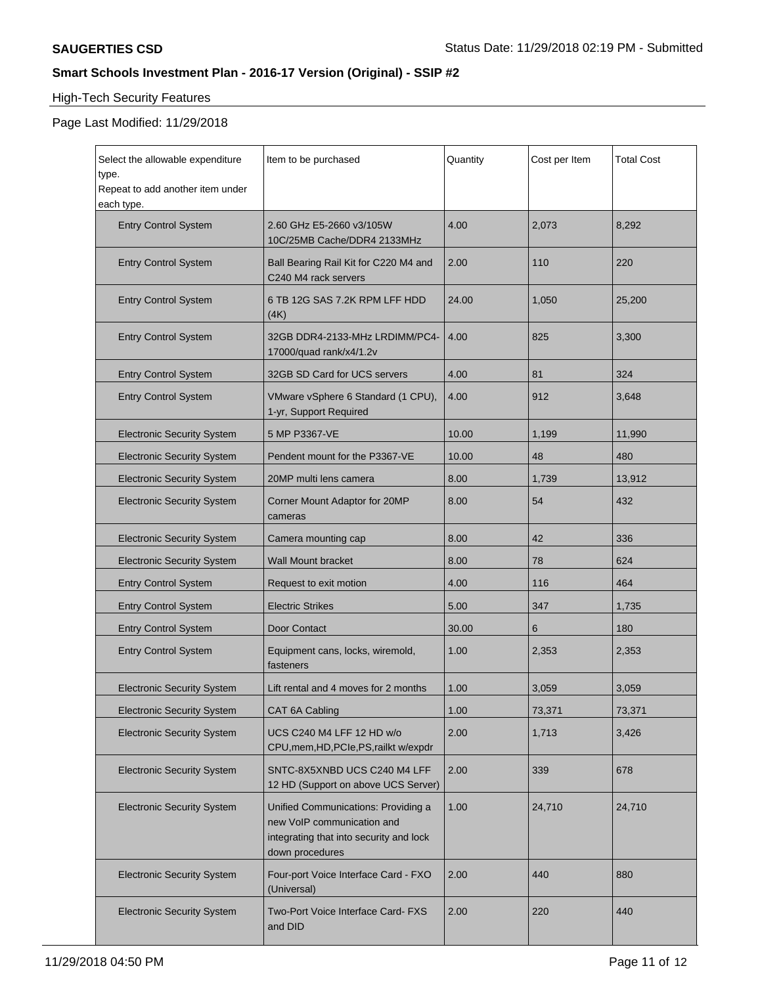# High-Tech Security Features

| Select the allowable expenditure<br>type.<br>Repeat to add another item under | Item to be purchased                                                                                                            | Quantity | Cost per Item | <b>Total Cost</b> |
|-------------------------------------------------------------------------------|---------------------------------------------------------------------------------------------------------------------------------|----------|---------------|-------------------|
| each type.<br><b>Entry Control System</b>                                     | 2.60 GHz E5-2660 v3/105W<br>10C/25MB Cache/DDR4 2133MHz                                                                         | 4.00     | 2,073         | 8,292             |
| <b>Entry Control System</b>                                                   | Ball Bearing Rail Kit for C220 M4 and<br>C240 M4 rack servers                                                                   | 2.00     | 110           | 220               |
| <b>Entry Control System</b>                                                   | 6 TB 12G SAS 7.2K RPM LFF HDD<br>(4K)                                                                                           | 24.00    | 1,050         | 25,200            |
| <b>Entry Control System</b>                                                   | 32GB DDR4-2133-MHz LRDIMM/PC4-<br>17000/quad rank/x4/1.2v                                                                       | 4.00     | 825           | 3,300             |
| <b>Entry Control System</b>                                                   | 32GB SD Card for UCS servers                                                                                                    | 4.00     | 81            | 324               |
| <b>Entry Control System</b>                                                   | VMware vSphere 6 Standard (1 CPU),<br>1-yr, Support Required                                                                    | 4.00     | 912           | 3,648             |
| <b>Electronic Security System</b>                                             | 5 MP P3367-VE                                                                                                                   | 10.00    | 1,199         | 11,990            |
| <b>Electronic Security System</b>                                             | Pendent mount for the P3367-VE                                                                                                  | 10.00    | 48            | 480               |
| <b>Electronic Security System</b>                                             | 20MP multi lens camera                                                                                                          | 8.00     | 1,739         | 13,912            |
| <b>Electronic Security System</b>                                             | Corner Mount Adaptor for 20MP<br>cameras                                                                                        | 8.00     | 54            | 432               |
| <b>Electronic Security System</b>                                             | Camera mounting cap                                                                                                             | 8.00     | 42            | 336               |
| <b>Electronic Security System</b>                                             | <b>Wall Mount bracket</b>                                                                                                       | 8.00     | 78            | 624               |
| <b>Entry Control System</b>                                                   | Request to exit motion                                                                                                          | 4.00     | 116           | 464               |
| <b>Entry Control System</b>                                                   | <b>Electric Strikes</b>                                                                                                         | 5.00     | 347           | 1,735             |
| <b>Entry Control System</b>                                                   | Door Contact                                                                                                                    | 30.00    | 6             | 180               |
| <b>Entry Control System</b>                                                   | Equipment cans, locks, wiremold,<br>fasteners                                                                                   | 1.00     | 2,353         | 2,353             |
| <b>Electronic Security System</b>                                             | Lift rental and 4 moves for 2 months                                                                                            | 1.00     | 3,059         | 3,059             |
| <b>Electronic Security System</b>                                             | CAT 6A Cabling                                                                                                                  | 1.00     | 73,371        | 73,371            |
| <b>Electronic Security System</b>                                             | UCS C240 M4 LFF 12 HD w/o<br>CPU, mem, HD, PCIe, PS, railkt w/expdr                                                             | 2.00     | 1,713         | 3,426             |
| <b>Electronic Security System</b>                                             | SNTC-8X5XNBD UCS C240 M4 LFF<br>12 HD (Support on above UCS Server)                                                             | 2.00     | 339           | 678               |
| <b>Electronic Security System</b>                                             | Unified Communications: Providing a<br>new VoIP communication and<br>integrating that into security and lock<br>down procedures | 1.00     | 24,710        | 24,710            |
| <b>Electronic Security System</b>                                             | Four-port Voice Interface Card - FXO<br>(Universal)                                                                             | 2.00     | 440           | 880               |
| <b>Electronic Security System</b>                                             | Two-Port Voice Interface Card-FXS<br>and DID                                                                                    | 2.00     | 220           | 440               |